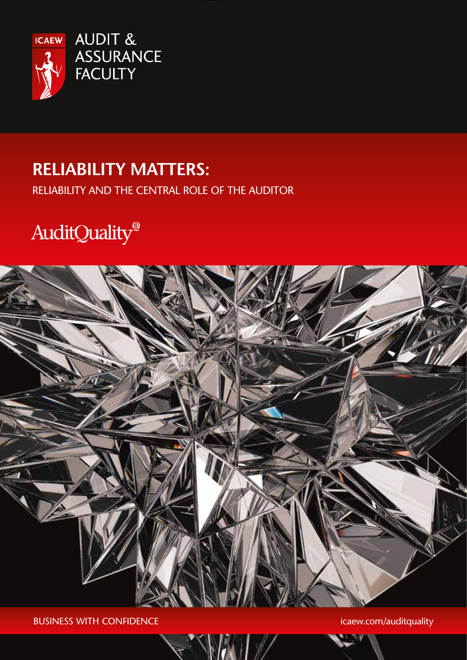

# **Reliability Matters:**

Reliability and the central role of the auditor

# AuditQuality®



BUSINESS WITH CONFIDENCE **in the set of the set of the set of the set of the set of the set of the set of the set of the set of the set of the set of the set of the set of the set of the set of the set of the set of the se**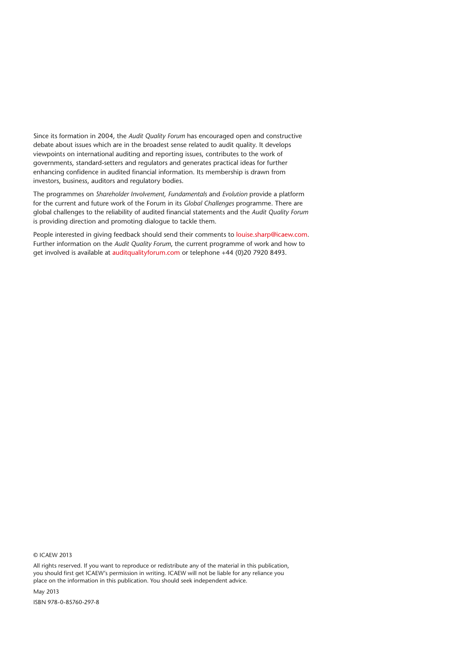Since its formation in 2004, the *Audit Quality Forum* has encouraged open and constructive debate about issues which are in the broadest sense related to audit quality. It develops viewpoints on international auditing and reporting issues, contributes to the work of governments, standard-setters and regulators and generates practical ideas for further enhancing confidence in audited financial information. Its membership is drawn from investors, business, auditors and regulatory bodies.

The programmes on *Shareholder Involvement, Fundamentals* and *Evolution* provide a platform for the current and future work of the Forum in its *Global Challenges* programme. There are global challenges to the reliability of audited financial statements and the *Audit Quality Forum* is providing direction and promoting dialogue to tackle them.

People interested in giving feedback should send their comments to louise.sharp@icaew.com. Further information on the *Audit Quality Forum*, the current programme of work and how to get involved is available at auditqualityforum.com or telephone +44 (0)20 7920 8493.

© ICAEW 2013

All rights reserved. If you want to reproduce or redistribute any of the material in this publication, you should first get ICAEW's permission in writing. ICAEW will not be liable for any reliance you place on the information in this publication. You should seek independent advice.

May 2013

ISBN 978-0-85760-297-8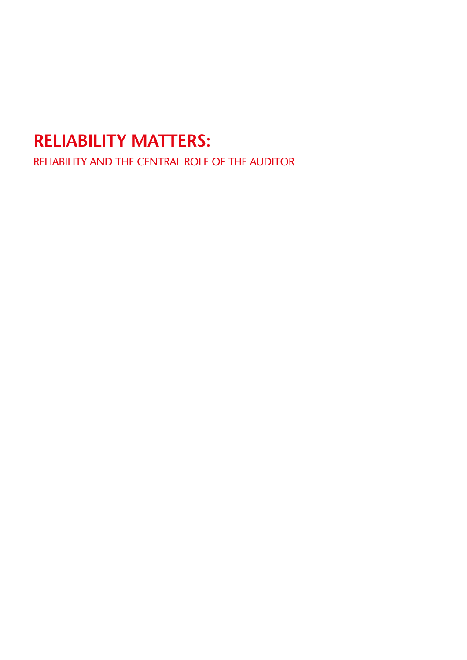# **Reliability Matters:**

Reliability and the central role of the auditor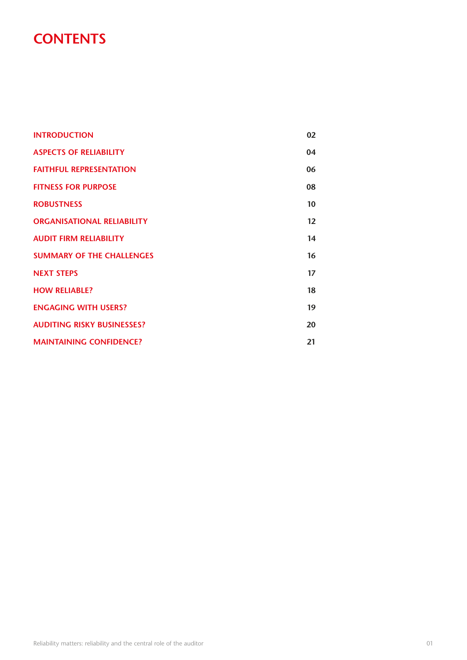### **CONTENTS**

| <b>INTRODUCTION</b>               | 02 |
|-----------------------------------|----|
| <b>ASPECTS OF RELIABILITY</b>     | 04 |
| <b>FAITHFUL REPRESENTATION</b>    | 06 |
| <b>FITNESS FOR PURPOSE</b>        | 08 |
| <b>ROBUSTNESS</b>                 | 10 |
| <b>ORGANISATIONAL RELIABILITY</b> | 12 |
| <b>AUDIT FIRM RELIABILITY</b>     | 14 |
| <b>SUMMARY OF THE CHALLENGES</b>  | 16 |
| <b>NEXT STEPS</b>                 | 17 |
| <b>HOW RELIABLE?</b>              | 18 |
| <b>ENGAGING WITH USERS?</b>       | 19 |
| <b>AUDITING RISKY BUSINESSES?</b> | 20 |
| <b>MAINTAINING CONFIDENCE?</b>    | 21 |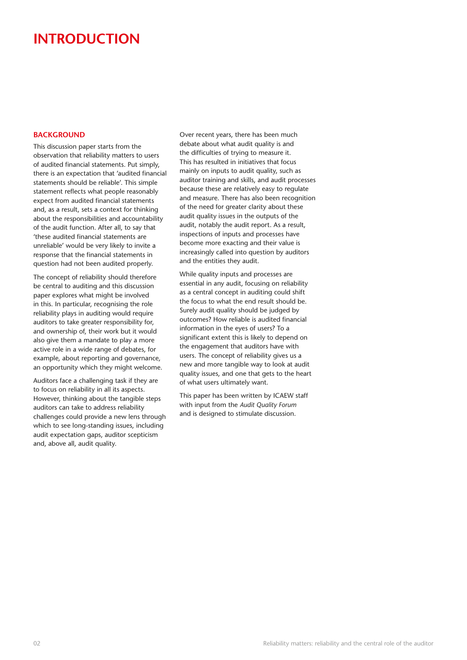### **introduction**

#### **BACKGROUND**

This discussion paper starts from the observation that reliability matters to users of audited financial statements. Put simply, there is an expectation that 'audited financial statements should be reliable'. This simple statement reflects what people reasonably expect from audited financial statements and, as a result, sets a context for thinking about the responsibilities and accountability of the audit function. After all, to say that 'these audited financial statements are unreliable' would be very likely to invite a response that the financial statements in question had not been audited properly.

The concept of reliability should therefore be central to auditing and this discussion paper explores what might be involved in this. In particular, recognising the role reliability plays in auditing would require auditors to take greater responsibility for, and ownership of, their work but it would also give them a mandate to play a more active role in a wide range of debates, for example, about reporting and governance, an opportunity which they might welcome.

Auditors face a challenging task if they are to focus on reliability in all its aspects. However, thinking about the tangible steps auditors can take to address reliability challenges could provide a new lens through which to see long-standing issues, including audit expectation gaps, auditor scepticism and, above all, audit quality.

Over recent years, there has been much debate about what audit quality is and the difficulties of trying to measure it. This has resulted in initiatives that focus mainly on inputs to audit quality, such as auditor training and skills, and audit processes because these are relatively easy to regulate and measure. There has also been recognition of the need for greater clarity about these audit quality issues in the outputs of the audit, notably the audit report. As a result, inspections of inputs and processes have become more exacting and their value is increasingly called into question by auditors and the entities they audit.

While quality inputs and processes are essential in any audit, focusing on reliability as a central concept in auditing could shift the focus to what the end result should be. Surely audit quality should be judged by outcomes? How reliable is audited financial information in the eyes of users? To a significant extent this is likely to depend on the engagement that auditors have with users. The concept of reliability gives us a new and more tangible way to look at audit quality issues, and one that gets to the heart of what users ultimately want.

This paper has been written by ICAEW staff with input from the *Audit Quality Forum* and is designed to stimulate discussion.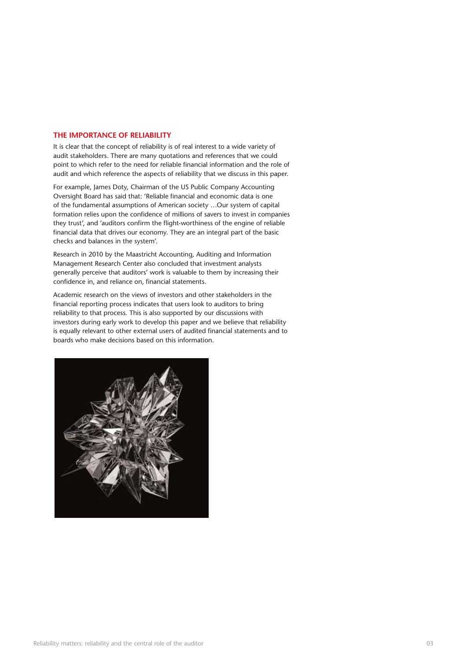#### **The importance of reliability**

It is clear that the concept of reliability is of real interest to a wide variety of audit stakeholders. There are many quotations and references that we could point to which refer to the need for reliable financial information and the role of audit and which reference the aspects of reliability that we discuss in this paper.

For example, James Doty, Chairman of the US Public Company Accounting Oversight Board has said that: 'Reliable financial and economic data is one of the fundamental assumptions of American society …Our system of capital formation relies upon the confidence of millions of savers to invest in companies they trust', and 'auditors confirm the flight-worthiness of the engine of reliable financial data that drives our economy. They are an integral part of the basic checks and balances in the system'.

Research in 2010 by the Maastricht Accounting, Auditing and Information Management Research Center also concluded that investment analysts generally perceive that auditors' work is valuable to them by increasing their confidence in, and reliance on, financial statements.

Academic research on the views of investors and other stakeholders in the financial reporting process indicates that users look to auditors to bring reliability to that process. This is also supported by our discussions with investors during early work to develop this paper and we believe that reliability is equally relevant to other external users of audited financial statements and to boards who make decisions based on this information.

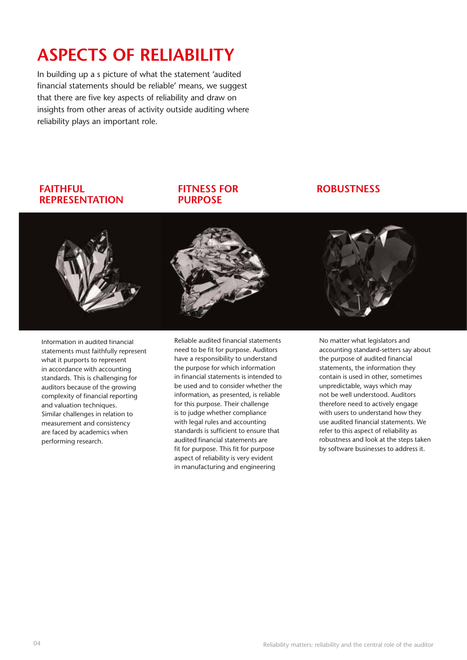# **Aspects of reliability**

In building up a s picture of what the statement 'audited financial statements should be reliable' means, we suggest that there are five key aspects of reliability and draw on insights from other areas of activity outside auditing where reliability plays an important role.

#### **Faithful representation**

#### **Fitness for purpose**

#### **Robustness**



Information in audited financial statements must faithfully represent what it purports to represent in accordance with accounting standards. This is challenging for auditors because of the growing complexity of financial reporting and valuation techniques. Similar challenges in relation to measurement and consistency are faced by academics when performing research.

Reliable audited financial statements need to be fit for purpose. Auditors have a responsibility to understand the purpose for which information in financial statements is intended to be used and to consider whether the information, as presented, is reliable for this purpose. Their challenge is to judge whether compliance with legal rules and accounting standards is sufficient to ensure that audited financial statements are fit for purpose. This fit for purpose aspect of reliability is very evident in manufacturing and engineering

No matter what legislators and accounting standard-setters say about the purpose of audited financial statements, the information they contain is used in other, sometimes unpredictable, ways which may not be well understood. Auditors therefore need to actively engage with users to understand how they use audited financial statements. We refer to this aspect of reliability as robustness and look at the steps taken by software businesses to address it.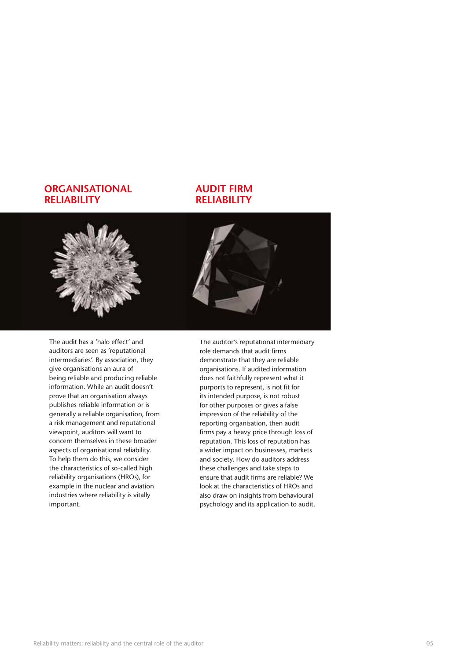#### **Organisational reliability**

#### **Audit firm reliability**



The audit has a 'halo effect' and auditors are seen as 'reputational intermediaries'. By association, they give organisations an aura of being reliable and producing reliable information. While an audit doesn't prove that an organisation always publishes reliable information or is generally a reliable organisation, from a risk management and reputational viewpoint, auditors will want to concern themselves in these broader aspects of organisational reliability. To help them do this, we consider the characteristics of so-called high reliability organisations (HROs), for example in the nuclear and aviation industries where reliability is vitally important.

The auditor's reputational intermediary role demands that audit firms demonstrate that they are reliable organisations. If audited information does not faithfully represent what it purports to represent, is not fit for its intended purpose, is not robust for other purposes or gives a false impression of the reliability of the reporting organisation, then audit firms pay a heavy price through loss of reputation. This loss of reputation has a wider impact on businesses, markets and society. How do auditors address these challenges and take steps to ensure that audit firms are reliable? We look at the characteristics of HROs and also draw on insights from behavioural psychology and its application to audit.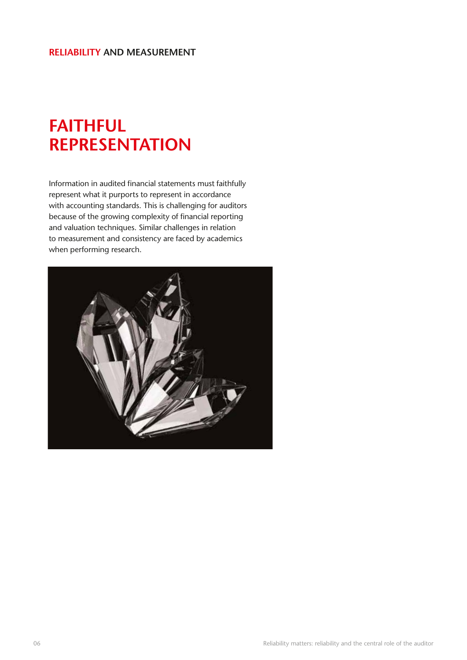# **Faithful representation**

Information in audited financial statements must faithfully represent what it purports to represent in accordance with accounting standards. This is challenging for auditors because of the growing complexity of financial reporting and valuation techniques. Similar challenges in relation to measurement and consistency are faced by academics when performing research.

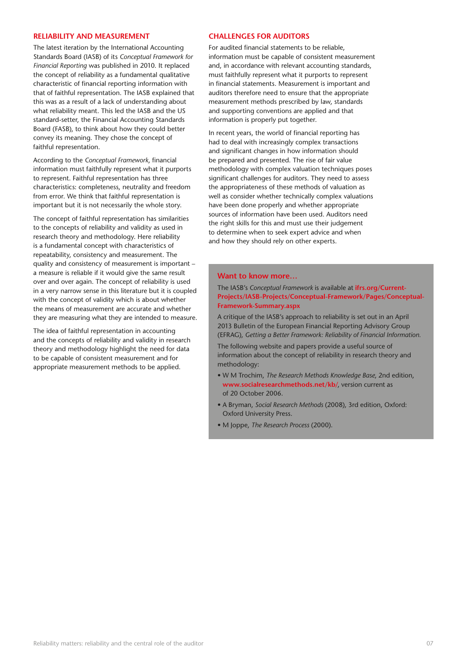#### **Reliability and measurement**

The latest iteration by the International Accounting Standards Board (IASB) of its *Conceptual Framework for Financial Reporting* was published in 2010. It replaced the concept of reliability as a fundamental qualitative characteristic of financial reporting information with that of faithful representation. The IASB explained that this was as a result of a lack of understanding about what reliability meant. This led the IASB and the US standard-setter, the Financial Accounting Standards Board (FASB), to think about how they could better convey its meaning. They chose the concept of faithful representation.

According to the *Conceptual Framework*, financial information must faithfully represent what it purports to represent. Faithful representation has three characteristics: completeness, neutrality and freedom from error. We think that faithful representation is important but it is not necessarily the whole story.

The concept of faithful representation has similarities to the concepts of reliability and validity as used in research theory and methodology. Here reliability is a fundamental concept with characteristics of repeatability, consistency and measurement. The quality and consistency of measurement is important – a measure is reliable if it would give the same result over and over again. The concept of reliability is used in a very narrow sense in this literature but it is coupled with the concept of validity which is about whether the means of measurement are accurate and whether they are measuring what they are intended to measure.

The idea of faithful representation in accounting and the concepts of reliability and validity in research theory and methodology highlight the need for data to be capable of consistent measurement and for appropriate measurement methods to be applied.

#### **Challenges for auditors**

For audited financial statements to be reliable, information must be capable of consistent measurement and, in accordance with relevant accounting standards, must faithfully represent what it purports to represent in financial statements. Measurement is important and auditors therefore need to ensure that the appropriate measurement methods prescribed by law, standards and supporting conventions are applied and that information is properly put together.

In recent years, the world of financial reporting has had to deal with increasingly complex transactions and significant changes in how information should be prepared and presented. The rise of fair value methodology with complex valuation techniques poses significant challenges for auditors. They need to assess the appropriateness of these methods of valuation as well as consider whether technically complex valuations have been done properly and whether appropriate sources of information have been used. Auditors need the right skills for this and must use their judgement to determine when to seek expert advice and when and how they should rely on other experts.

#### **Want to know more…**

#### The IASB's *Conceptual Framework* is available at **ifrs.org/Current-Projects/IASB-Projects/Conceptual-Framework/Pages/Conceptual-Framework-Summary.aspx**

A critique of the IASB's approach to reliability is set out in an April 2013 Bulletin of the European Financial Reporting Advisory Group (EFRAG), *Getting a Better Framework: Reliability of Financial Information.*

The following website and papers provide a useful source of information about the concept of reliability in research theory and methodology:

- W M Trochim, *The Research Methods Knowledge Base*, 2nd edition, **www.socialresearchmethods.net/kb/**, version current as of 20 October 2006.
- A Bryman, *Social Research Methods* (2008), 3rd edition, Oxford: Oxford University Press.
- M Joppe, *The Research Process* (2000).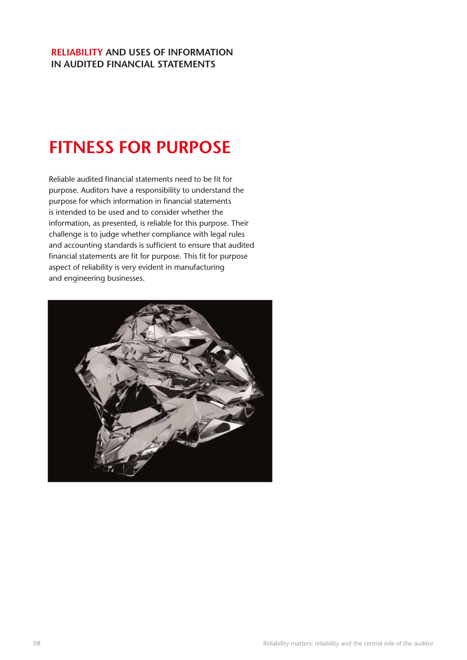#### **Reliability and uses of information in audited financial statements**

# **Fitness for purpose**

Reliable audited financial statements need to be fit for purpose. Auditors have a responsibility to understand the purpose for which information in financial statements is intended to be used and to consider whether the information, as presented, is reliable for this purpose. Their challenge is to judge whether compliance with legal rules and accounting standards is sufficient to ensure that audited financial statements are fit for purpose. This fit for purpose aspect of reliability is very evident in manufacturing and engineering businesses.

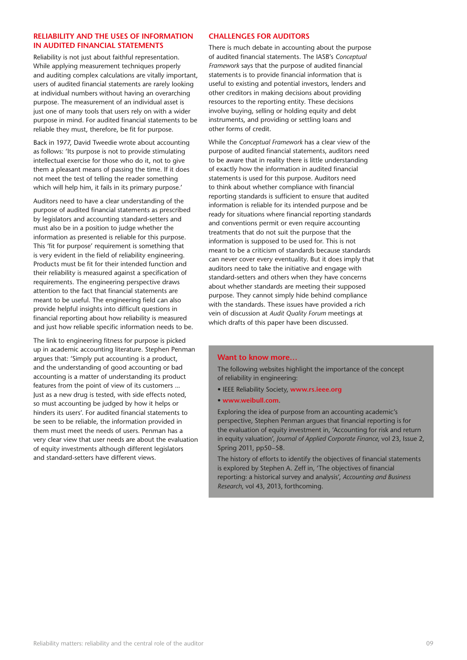#### **Reliability and the uses of information in audited financial statements**

Reliability is not just about faithful representation. While applying measurement techniques properly and auditing complex calculations are vitally important, users of audited financial statements are rarely looking at individual numbers without having an overarching purpose. The measurement of an individual asset is just one of many tools that users rely on with a wider purpose in mind. For audited financial statements to be reliable they must, therefore, be fit for purpose.

Back in 1977, David Tweedie wrote about accounting as follows: 'Its purpose is not to provide stimulating intellectual exercise for those who do it, not to give them a pleasant means of passing the time. If it does not meet the test of telling the reader something which will help him, it fails in its primary purpose.'

Auditors need to have a clear understanding of the purpose of audited financial statements as prescribed by legislators and accounting standard-setters and must also be in a position to judge whether the information as presented is reliable for this purpose. This 'fit for purpose' requirement is something that is very evident in the field of reliability engineering. Products must be fit for their intended function and their reliability is measured against a specification of requirements. The engineering perspective draws attention to the fact that financial statements are meant to be useful. The engineering field can also provide helpful insights into difficult questions in financial reporting about how reliability is measured and just how reliable specific information needs to be.

The link to engineering fitness for purpose is picked up in academic accounting literature. Stephen Penman argues that: 'Simply put accounting is a product, and the understanding of good accounting or bad accounting is a matter of understanding its product features from the point of view of its customers ... Just as a new drug is tested, with side effects noted, so must accounting be judged by how it helps or hinders its users'. For audited financial statements to be seen to be reliable, the information provided in them must meet the needs of users. Penman has a very clear view that user needs are about the evaluation of equity investments although different legislators and standard-setters have different views.

#### **Challenges for auditors**

There is much debate in accounting about the purpose of audited financial statements. The IASB's *Conceptual Framework* says that the purpose of audited financial statements is to provide financial information that is useful to existing and potential investors, lenders and other creditors in making decisions about providing resources to the reporting entity. These decisions involve buying, selling or holding equity and debt instruments, and providing or settling loans and other forms of credit.

While the *Conceptual Framework* has a clear view of the purpose of audited financial statements, auditors need to be aware that in reality there is little understanding of exactly how the information in audited financial statements is used for this purpose. Auditors need to think about whether compliance with financial reporting standards is sufficient to ensure that audited information is reliable for its intended purpose and be ready for situations where financial reporting standards and conventions permit or even require accounting treatments that do not suit the purpose that the information is supposed to be used for. This is not meant to be a criticism of standards because standards can never cover every eventuality. But it does imply that auditors need to take the initiative and engage with standard-setters and others when they have concerns about whether standards are meeting their supposed purpose. They cannot simply hide behind compliance with the standards. These issues have provided a rich vein of discussion at *Audit Quality Forum* meetings at which drafts of this paper have been discussed.

#### **Want to know more…**

The following websites highlight the importance of the concept of reliability in engineering:

- IEEE Reliability Society, **www.rs.ieee.org**
- **www.weibull.com**.

Exploring the idea of purpose from an accounting academic's perspective, Stephen Penman argues that financial reporting is for the evaluation of equity investment in, 'Accounting for risk and return in equity valuation', *Journal of Applied Corporate Finance*, vol 23, Issue 2, Spring 2011, pp50–58.

The history of efforts to identify the objectives of financial statements is explored by Stephen A. Zeff in, 'The objectives of financial reporting: a historical survey and analysis', *Accounting and Business Research*, vol 43, 2013, forthcoming.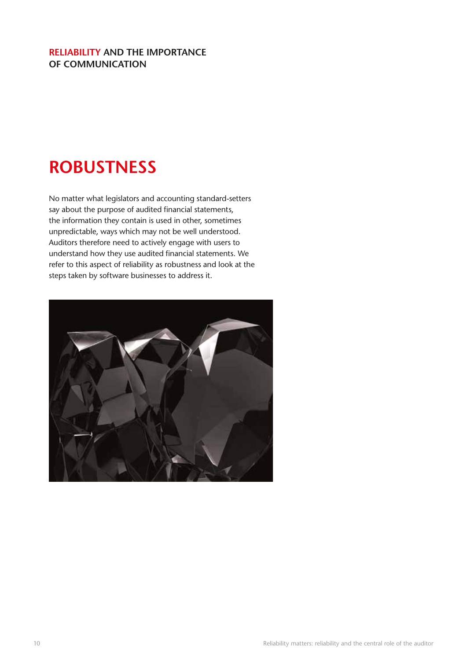#### **Reliability and the importance of communication**

# **Robustness**

No matter what legislators and accounting standard-setters say about the purpose of audited financial statements, the information they contain is used in other, sometimes unpredictable, ways which may not be well understood. Auditors therefore need to actively engage with users to understand how they use audited financial statements. We refer to this aspect of reliability as robustness and look at the steps taken by software businesses to address it.

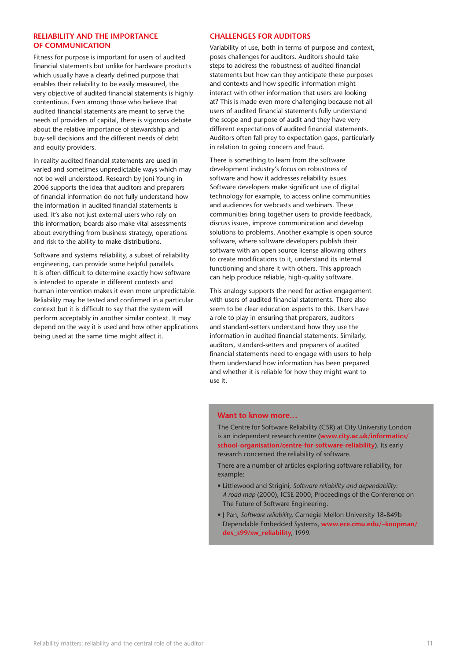#### **Reliability and the importance of communication**

Fitness for purpose is important for users of audited financial statements but unlike for hardware products which usually have a clearly defined purpose that enables their reliability to be easily measured, the very objective of audited financial statements is highly contentious. Even among those who believe that audited financial statements are meant to serve the needs of providers of capital, there is vigorous debate about the relative importance of stewardship and buy-sell decisions and the different needs of debt and equity providers.

In reality audited financial statements are used in varied and sometimes unpredictable ways which may not be well understood. Research by Joni Young in 2006 supports the idea that auditors and preparers of financial information do not fully understand how the information in audited financial statements is used. It's also not just external users who rely on this information; boards also make vital assessments about everything from business strategy, operations and risk to the ability to make distributions.

Software and systems reliability, a subset of reliability engineering, can provide some helpful parallels. It is often difficult to determine exactly how software is intended to operate in different contexts and human intervention makes it even more unpredictable. Reliability may be tested and confirmed in a particular context but it is difficult to say that the system will perform acceptably in another similar context. It may depend on the way it is used and how other applications being used at the same time might affect it.

#### **Challenges for auditors**

Variability of use, both in terms of purpose and context, poses challenges for auditors. Auditors should take steps to address the robustness of audited financial statements but how can they anticipate these purposes and contexts and how specific information might interact with other information that users are looking at? This is made even more challenging because not all users of audited financial statements fully understand the scope and purpose of audit and they have very different expectations of audited financial statements. Auditors often fall prey to expectation gaps, particularly in relation to going concern and fraud.

There is something to learn from the software development industry's focus on robustness of software and how it addresses reliability issues. Software developers make significant use of digital technology for example, to access online communities and audiences for webcasts and webinars. These communities bring together users to provide feedback, discuss issues, improve communication and develop solutions to problems. Another example is open-source software, where software developers publish their software with an open source license allowing others to create modifications to it, understand its internal functioning and share it with others. This approach can help produce reliable, high-quality software.

This analogy supports the need for active engagement with users of audited financial statements. There also seem to be clear education aspects to this. Users have a role to play in ensuring that preparers, auditors and standard-setters understand how they use the information in audited financial statements. Similarly, auditors, standard-setters and preparers of audited financial statements need to engage with users to help them understand how information has been prepared and whether it is reliable for how they might want to use it.

#### **Want to know more…**

The Centre for Software Reliability (CSR) at City University London is an independent research centre (**www.city.ac.uk/informatics/ school-organisation/centre-for-software-reliability**). Its early research concerned the reliability of software.

There are a number of articles exploring software reliability, for example:

- Littlewood and Strigini, *Software reliability and dependability: A road map* (2000), ICSE 2000, Proceedings of the Conference on The Future of Software Engineering.
- J Pan, *Software reliability*, Carnegie Mellon University 18-849b Dependable Embedded Systems, **www.ece.cmu.edu/~koopman/ des\_s99/sw\_reliability**, 1999.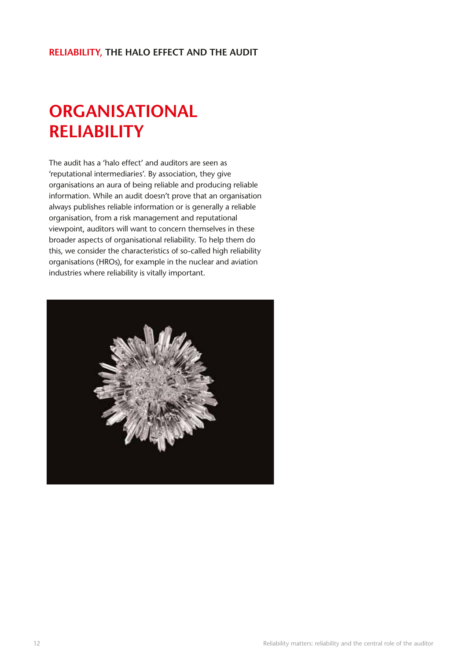#### **Reliability, the halo effect and the audit**

# **ORGANISATIONAL RELIABILITY**

The audit has a 'halo effect' and auditors are seen as 'reputational intermediaries'. By association, they give organisations an aura of being reliable and producing reliable information. While an audit doesn't prove that an organisation always publishes reliable information or is generally a reliable organisation, from a risk management and reputational viewpoint, auditors will want to concern themselves in these broader aspects of organisational reliability. To help them do this, we consider the characteristics of so-called high reliability organisations (HROs), for example in the nuclear and aviation industries where reliability is vitally important.

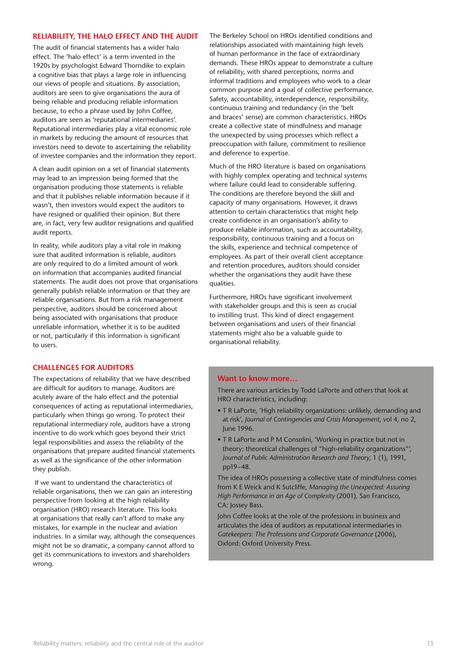#### **Reliability, The halo effect and the audit**

The audit of financial statements has a wider halo effect. The 'halo effect' is a term invented in the 1920s by psychologist Edward Thorndike to explain a cognitive bias that plays a large role in influencing our views of people and situations. By association, auditors are seen to give organisations the aura of being reliable and producing reliable information because, to echo a phrase used by John Coffee, auditors are seen as 'reputational intermediaries'. Reputational intermediaries play a vital economic role in markets by reducing the amount of resources that investors need to devote to ascertaining the reliability of investee companies and the information they report.

A clean audit opinion on a set of financial statements may lead to an impression being formed that the organisation producing those statements is reliable and that it publishes reliable information because if it wasn't, then investors would expect the auditors to have resigned or qualified their opinion. But there are, in fact, very few auditor resignations and qualified audit reports.

In reality, while auditors play a vital role in making sure that audited information is reliable, auditors are only required to do a limited amount of work on information that accompanies audited financial statements. The audit does not prove that organisations generally publish reliable information or that they are reliable organisations. But from a risk management perspective, auditors should be concerned about being associated with organisations that produce unreliable information, whether it is to be audited or not, particularly if this information is significant to users.

#### **Challenges for auditors**

The expectations of reliability that we have described are difficult for auditors to manage. Auditors are acutely aware of the halo effect and the potential consequences of acting as reputational intermediaries, particularly when things go wrong. To protect their reputational intermediary role, auditors have a strong incentive to do work which goes beyond their strict legal responsibilities and assess the reliability of the organisations that prepare audited financial statements as well as the significance of the other information they publish.

 If we want to understand the characteristics of reliable organisations, then we can gain an interesting perspective from looking at the high reliability organisation (HRO) research literature. This looks at organisations that really can't afford to make any mistakes, for example in the nuclear and aviation industries. In a similar way, although the consequences might not be so dramatic, a company cannot afford to get its communications to investors and shareholders wrong.

The Berkeley School on HROs identified conditions and relationships associated with maintaining high levels of human performance in the face of extraordinary demands. These HROs appear to demonstrate a culture of reliability, with shared perceptions, norms and informal traditions and employees who work to a clear common purpose and a goal of collective performance. Safety, accountability, interdependence, responsibility, continuous training and redundancy (in the 'belt and braces' sense) are common characteristics. HROs create a collective state of mindfulness and manage the unexpected by using processes which reflect a preoccupation with failure, commitment to resilience and deference to expertise.

Much of the HRO literature is based on organisations with highly complex operating and technical systems where failure could lead to considerable suffering. The conditions are therefore beyond the skill and capacity of many organisations. However, it draws attention to certain characteristics that might help create confidence in an organisation's ability to produce reliable information, such as accountability, responsibility, continuous training and a focus on the skills, experience and technical competence of employees. As part of their overall client acceptance and retention procedures, auditors should consider whether the organisations they audit have these qualities.

Furthermore, HROs have significant involvement with stakeholder groups and this is seen as crucial to instilling trust. This kind of direct engagement between organisations and users of their financial statements might also be a valuable guide to organisational reliability.

#### **Want to know more…**

There are various articles by Todd LaPorte and others that look at HRO characteristics, including:

- T R LaPorte, 'High reliability organizations: unlikely, demanding and at risk', *Journal of Contingencies and Crisis Management*, vol 4, no 2, June 1996.
- T R LaPorte and P M Consolini, 'Working in practice but not in theory: theoretical challenges of "high-reliability organizations"', *Journal of Public Administration Research and Theory*, 1 (1), 1991, pp19–48.

The idea of HROs possessing a collective state of mindfulness comes from K E Weick and K Sutcliffe, *Managing the Unexpected: Assuring High Performance in an Age of Complexity* (2001)*,* San Francisco, CA: Jossey Bass.

John Coffee looks at the role of the professions in business and articulates the idea of auditors as reputational intermediaries in *Gatekeepers: The Professions and Corporate Governance* (2006)*,* Oxford: Oxford University Press.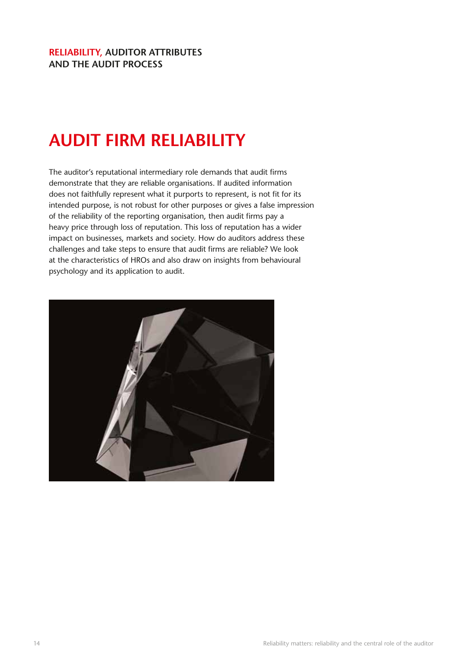#### **Reliability, auditor attributes and the audit process**

# **AUDIT FIRM RELIABILITY**

The auditor's reputational intermediary role demands that audit firms demonstrate that they are reliable organisations. If audited information does not faithfully represent what it purports to represent, is not fit for its intended purpose, is not robust for other purposes or gives a false impression of the reliability of the reporting organisation, then audit firms pay a heavy price through loss of reputation. This loss of reputation has a wider impact on businesses, markets and society. How do auditors address these challenges and take steps to ensure that audit firms are reliable? We look at the characteristics of HROs and also draw on insights from behavioural psychology and its application to audit.

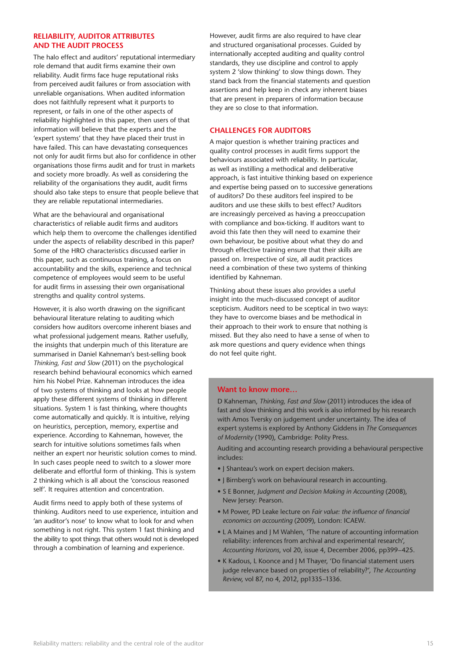#### **Reliability, auditor attributes and the audit process**

The halo effect and auditors' reputational intermediary role demand that audit firms examine their own reliability. Audit firms face huge reputational risks from perceived audit failures or from association with unreliable organisations. When audited information does not faithfully represent what it purports to represent, or fails in one of the other aspects of reliability highlighted in this paper, then users of that information will believe that the experts and the 'expert systems' that they have placed their trust in have failed. This can have devastating consequences not only for audit firms but also for confidence in other organisations those firms audit and for trust in markets and society more broadly. As well as considering the reliability of the organisations they audit, audit firms should also take steps to ensure that people believe that they are reliable reputational intermediaries.

What are the behavioural and organisational characteristics of reliable audit firms and auditors which help them to overcome the challenges identified under the aspects of reliability described in this paper? Some of the HRO characteristics discussed earlier in this paper, such as continuous training, a focus on accountability and the skills, experience and technical competence of employees would seem to be useful for audit firms in assessing their own organisational strengths and quality control systems.

However, it is also worth drawing on the significant behavioural literature relating to auditing which considers how auditors overcome inherent biases and what professional judgement means. Rather usefully, the insights that underpin much of this literature are summarised in Daniel Kahneman's best-selling book *Thinking, Fast and Slow* (2011) on the psychological research behind behavioural economics which earned him his Nobel Prize. Kahneman introduces the idea of two systems of thinking and looks at how people apply these different systems of thinking in different situations. System 1 is fast thinking, where thoughts come automatically and quickly. It is intuitive, relying on heuristics, perception, memory, expertise and experience. According to Kahneman, however, the search for intuitive solutions sometimes fails when neither an expert nor heuristic solution comes to mind. In such cases people need to switch to a slower more deliberate and effortful form of thinking. This is system 2 thinking which is all about the 'conscious reasoned self'. It requires attention and concentration.

Audit firms need to apply both of these systems of thinking. Auditors need to use experience, intuition and 'an auditor's nose' to know what to look for and when something is not right. This system 1 fast thinking and the ability to spot things that others would not is developed through a combination of learning and experience.

However, audit firms are also required to have clear and structured organisational processes. Guided by internationally accepted auditing and quality control standards, they use discipline and control to apply system 2 'slow thinking' to slow things down. They stand back from the financial statements and question assertions and help keep in check any inherent biases that are present in preparers of information because they are so close to that information.

#### **Challenges for auditors**

A major question is whether training practices and quality control processes in audit firms support the behaviours associated with reliability. In particular, as well as instilling a methodical and deliberative approach, is fast intuitive thinking based on experience and expertise being passed on to successive generations of auditors? Do these auditors feel inspired to be auditors and use these skills to best effect? Auditors are increasingly perceived as having a preoccupation with compliance and box-ticking. If auditors want to avoid this fate then they will need to examine their own behaviour, be positive about what they do and through effective training ensure that their skills are passed on. Irrespective of size, all audit practices need a combination of these two systems of thinking identified by Kahneman.

Thinking about these issues also provides a useful insight into the much-discussed concept of auditor scepticism. Auditors need to be sceptical in two ways: they have to overcome biases and be methodical in their approach to their work to ensure that nothing is missed. But they also need to have a sense of when to ask more questions and query evidence when things do not feel quite right.

#### Want to know more...

D Kahneman, *Thinking, Fast and Slow* (2011) introduces the idea of fast and slow thinking and this work is also informed by his research with Amos Tversky on judgement under uncertainty. The idea of expert systems is explored by Anthony Giddens in *The Consequences of Modernity* (1990), Cambridge: Polity Press.

Auditing and accounting research providing a behavioural perspective includes:

- J Shanteau's work on expert decision makers.
- J Birnberg's work on behavioural research in accounting.
- S E Bonner, *Judgment and Decision Making in Accounting* (2008), New Jersey: Pearson.
- M Power, PD Leake lecture on *Fair value: the influence of financial economics on accounting* (2009), London: ICAEW.
- L A Maines and J M Wahlen, 'The nature of accounting information reliability: inferences from archival and experimental research', *Accounting Horizons*, vol 20, issue 4, December 2006, pp399–425.
- K Kadous, L Koonce and J M Thayer, 'Do financial statement users judge relevance based on properties of reliability?', *The Accounting Review*, vol 87, no 4, 2012, pp1335–1336.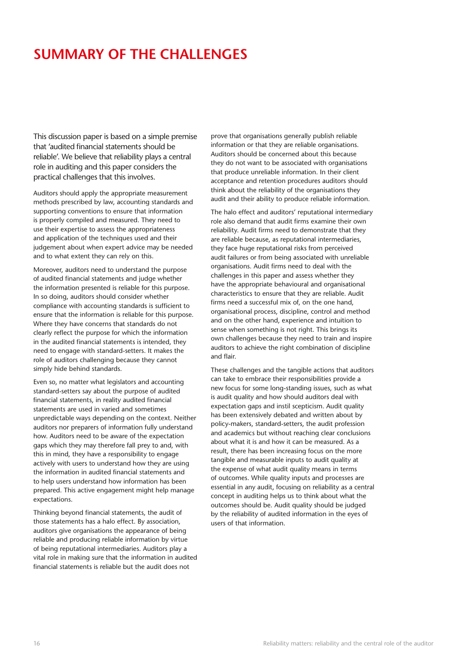### **SUMMARY OF THE CHALLENGES**

This discussion paper is based on a simple premise that 'audited financial statements should be reliable'. We believe that reliability plays a central role in auditing and this paper considers the practical challenges that this involves.

Auditors should apply the appropriate measurement methods prescribed by law, accounting standards and supporting conventions to ensure that information is properly compiled and measured. They need to use their expertise to assess the appropriateness and application of the techniques used and their judgement about when expert advice may be needed and to what extent they can rely on this.

Moreover, auditors need to understand the purpose of audited financial statements and judge whether the information presented is reliable for this purpose. In so doing, auditors should consider whether compliance with accounting standards is sufficient to ensure that the information is reliable for this purpose. Where they have concerns that standards do not clearly reflect the purpose for which the information in the audited financial statements is intended, they need to engage with standard-setters. It makes the role of auditors challenging because they cannot simply hide behind standards.

Even so, no matter what legislators and accounting standard-setters say about the purpose of audited financial statements, in reality audited financial statements are used in varied and sometimes unpredictable ways depending on the context. Neither auditors nor preparers of information fully understand how. Auditors need to be aware of the expectation gaps which they may therefore fall prey to and, with this in mind, they have a responsibility to engage actively with users to understand how they are using the information in audited financial statements and to help users understand how information has been prepared. This active engagement might help manage expectations.

Thinking beyond financial statements, the audit of those statements has a halo effect. By association, auditors give organisations the appearance of being reliable and producing reliable information by virtue of being reputational intermediaries. Auditors play a vital role in making sure that the information in audited financial statements is reliable but the audit does not

prove that organisations generally publish reliable information or that they are reliable organisations. Auditors should be concerned about this because they do not want to be associated with organisations that produce unreliable information. In their client acceptance and retention procedures auditors should think about the reliability of the organisations they audit and their ability to produce reliable information.

The halo effect and auditors' reputational intermediary role also demand that audit firms examine their own reliability. Audit firms need to demonstrate that they are reliable because, as reputational intermediaries, they face huge reputational risks from perceived audit failures or from being associated with unreliable organisations. Audit firms need to deal with the challenges in this paper and assess whether they have the appropriate behavioural and organisational characteristics to ensure that they are reliable. Audit firms need a successful mix of, on the one hand, organisational process, discipline, control and method and on the other hand, experience and intuition to sense when something is not right. This brings its own challenges because they need to train and inspire auditors to achieve the right combination of discipline and flair.

These challenges and the tangible actions that auditors can take to embrace their responsibilities provide a new focus for some long-standing issues, such as what is audit quality and how should auditors deal with expectation gaps and instil scepticism. Audit quality has been extensively debated and written about by policy-makers, standard-setters, the audit profession and academics but without reaching clear conclusions about what it is and how it can be measured. As a result, there has been increasing focus on the more tangible and measurable inputs to audit quality at the expense of what audit quality means in terms of outcomes. While quality inputs and processes are essential in any audit, focusing on reliability as a central concept in auditing helps us to think about what the outcomes should be. Audit quality should be judged by the reliability of audited information in the eyes of users of that information.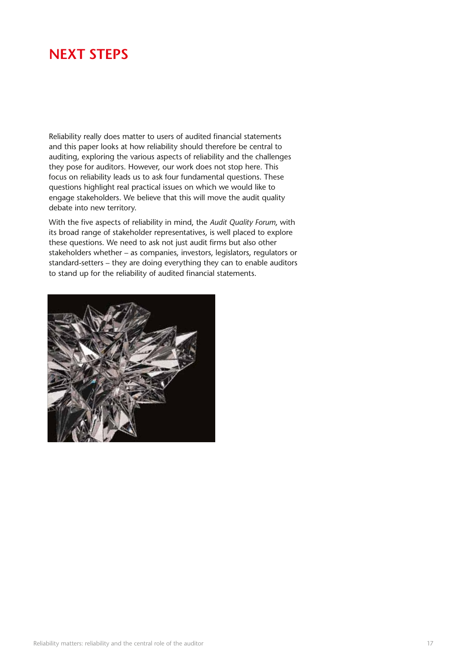### **NEXT STEPS**

Reliability really does matter to users of audited financial statements and this paper looks at how reliability should therefore be central to auditing, exploring the various aspects of reliability and the challenges they pose for auditors. However, our work does not stop here. This focus on reliability leads us to ask four fundamental questions. These questions highlight real practical issues on which we would like to engage stakeholders. We believe that this will move the audit quality debate into new territory.

With the five aspects of reliability in mind, the *Audit Quality Forum*, with its broad range of stakeholder representatives, is well placed to explore these questions. We need to ask not just audit firms but also other stakeholders whether – as companies, investors, legislators, regulators or standard-setters – they are doing everything they can to enable auditors to stand up for the reliability of audited financial statements.

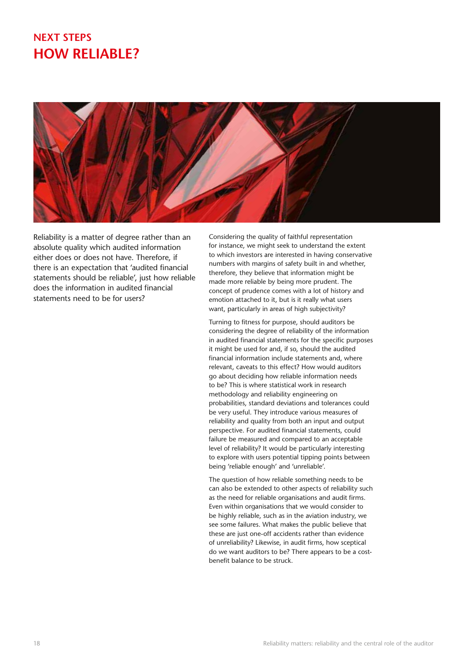### **Next Steps How reliable?**



Reliability is a matter of degree rather than an absolute quality which audited information either does or does not have. Therefore, if there is an expectation that 'audited financial statements should be reliable', just how reliable does the information in audited financial statements need to be for users?

Considering the quality of faithful representation for instance, we might seek to understand the extent to which investors are interested in having conservative numbers with margins of safety built in and whether, therefore, they believe that information might be made more reliable by being more prudent. The concept of prudence comes with a lot of history and emotion attached to it, but is it really what users want, particularly in areas of high subjectivity?

Turning to fitness for purpose, should auditors be considering the degree of reliability of the information in audited financial statements for the specific purposes it might be used for and, if so, should the audited financial information include statements and, where relevant, caveats to this effect? How would auditors go about deciding how reliable information needs to be? This is where statistical work in research methodology and reliability engineering on probabilities, standard deviations and tolerances could be very useful. They introduce various measures of reliability and quality from both an input and output perspective. For audited financial statements, could failure be measured and compared to an acceptable level of reliability? It would be particularly interesting to explore with users potential tipping points between being 'reliable enough' and 'unreliable'.

The question of how reliable something needs to be can also be extended to other aspects of reliability such as the need for reliable organisations and audit firms. Even within organisations that we would consider to be highly reliable, such as in the aviation industry, we see some failures. What makes the public believe that these are just one-off accidents rather than evidence of unreliability? Likewise, in audit firms, how sceptical do we want auditors to be? There appears to be a costbenefit balance to be struck.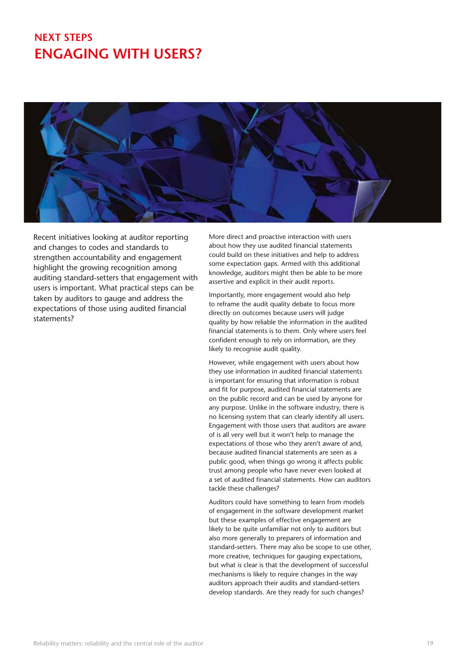### **Next Steps ENGAGING WITH USERS?**



Recent initiatives looking at auditor reporting and changes to codes and standards to strengthen accountability and engagement highlight the growing recognition among auditing standard-setters that engagement with users is important. What practical steps can be taken by auditors to gauge and address the expectations of those using audited financial statements?

More direct and proactive interaction with users about how they use audited financial statements could build on these initiatives and help to address some expectation gaps. Armed with this additional knowledge, auditors might then be able to be more assertive and explicit in their audit reports.

Importantly, more engagement would also help to reframe the audit quality debate to focus more directly on outcomes because users will judge quality by how reliable the information in the audited financial statements is to them. Only where users feel confident enough to rely on information, are they likely to recognise audit quality.

However, while engagement with users about how they use information in audited financial statements is important for ensuring that information is robust and fit for purpose, audited financial statements are on the public record and can be used by anyone for any purpose. Unlike in the software industry, there is no licensing system that can clearly identify all users. Engagement with those users that auditors are aware of is all very well but it won't help to manage the expectations of those who they aren't aware of and, because audited financial statements are seen as a public good, when things go wrong it affects public trust among people who have never even looked at a set of audited financial statements. How can auditors tackle these challenges?

Auditors could have something to learn from models of engagement in the software development market but these examples of effective engagement are likely to be quite unfamiliar not only to auditors but also more generally to preparers of information and standard-setters. There may also be scope to use other, more creative, techniques for gauging expectations, but what is clear is that the development of successful mechanisms is likely to require changes in the way auditors approach their audits and standard-setters develop standards. Are they ready for such changes?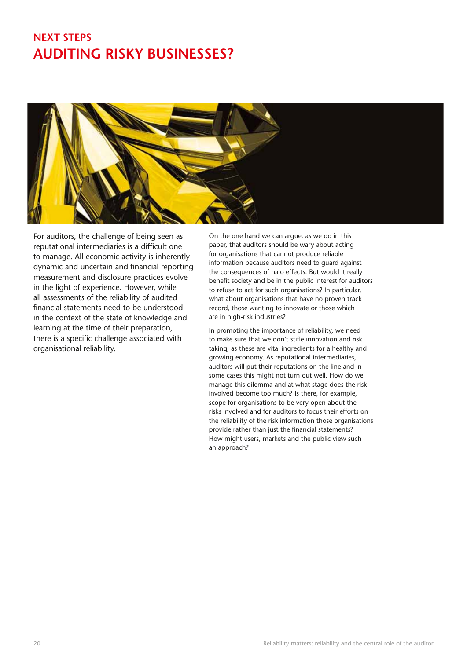### **Next Steps auditing risky businesses?**



For auditors, the challenge of being seen as reputational intermediaries is a difficult one to manage. All economic activity is inherently dynamic and uncertain and financial reporting measurement and disclosure practices evolve in the light of experience. However, while all assessments of the reliability of audited financial statements need to be understood in the context of the state of knowledge and learning at the time of their preparation, there is a specific challenge associated with organisational reliability.

On the one hand we can argue, as we do in this paper, that auditors should be wary about acting for organisations that cannot produce reliable information because auditors need to guard against the consequences of halo effects. But would it really benefit society and be in the public interest for auditors to refuse to act for such organisations? In particular, what about organisations that have no proven track record, those wanting to innovate or those which are in high-risk industries?

In promoting the importance of reliability, we need to make sure that we don't stifle innovation and risk taking, as these are vital ingredients for a healthy and growing economy. As reputational intermediaries, auditors will put their reputations on the line and in some cases this might not turn out well. How do we manage this dilemma and at what stage does the risk involved become too much? Is there, for example, scope for organisations to be very open about the risks involved and for auditors to focus their efforts on the reliability of the risk information those organisations provide rather than just the financial statements? How might users, markets and the public view such an approach?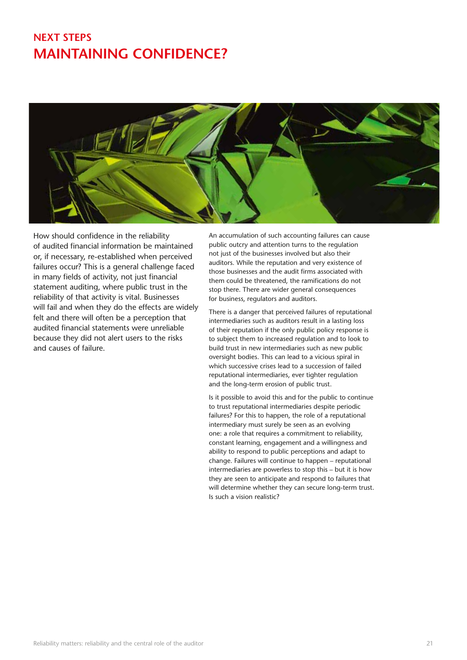### **Next Steps Maintaining confidence?**



How should confidence in the reliability of audited financial information be maintained or, if necessary, re-established when perceived failures occur? This is a general challenge faced in many fields of activity, not just financial statement auditing, where public trust in the reliability of that activity is vital. Businesses will fail and when they do the effects are widely felt and there will often be a perception that audited financial statements were unreliable because they did not alert users to the risks and causes of failure.

An accumulation of such accounting failures can cause public outcry and attention turns to the regulation not just of the businesses involved but also their auditors. While the reputation and very existence of those businesses and the audit firms associated with them could be threatened, the ramifications do not stop there. There are wider general consequences for business, regulators and auditors.

There is a danger that perceived failures of reputational intermediaries such as auditors result in a lasting loss of their reputation if the only public policy response is to subject them to increased regulation and to look to build trust in new intermediaries such as new public oversight bodies. This can lead to a vicious spiral in which successive crises lead to a succession of failed reputational intermediaries, ever tighter regulation and the long-term erosion of public trust.

Is it possible to avoid this and for the public to continue to trust reputational intermediaries despite periodic failures? For this to happen, the role of a reputational intermediary must surely be seen as an evolving one: a role that requires a commitment to reliability, constant learning, engagement and a willingness and ability to respond to public perceptions and adapt to change. Failures will continue to happen – reputational intermediaries are powerless to stop this – but it is how they are seen to anticipate and respond to failures that will determine whether they can secure long-term trust. Is such a vision realistic?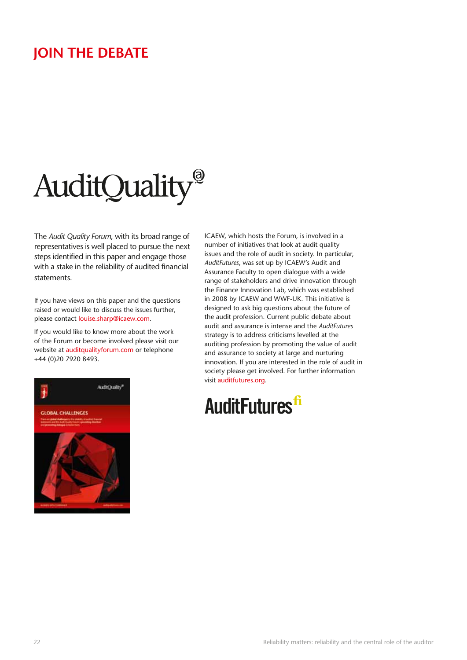### **Join the debate**

# AuditQuality®

The *Audit Quality Forum*, with its broad range of representatives is well placed to pursue the next steps identified in this paper and engage those with a stake in the reliability of audited financial statements.

If you have views on this paper and the questions raised or would like to discuss the issues further, please contact louise.sharp@icaew.com.

If you would like to know more about the work of the Forum or become involved please visit our website at auditqualityforum.com or telephone +44 (0)20 7920 8493.



ICAEW, which hosts the Forum, is involved in a number of initiatives that look at audit quality issues and the role of audit in society. In particular, *AuditFutures*, was set up by ICAEW's Audit and Assurance Faculty to open dialogue with a wide range of stakeholders and drive innovation through the Finance Innovation Lab, which was established in 2008 by ICAEW and WWF-UK. This initiative is designed to ask big questions about the future of the audit profession. Current public debate about audit and assurance is intense and the *AuditFutures* strategy is to address criticisms levelled at the auditing profession by promoting the value of audit and assurance to society at large and nurturing innovation. If you are interested in the role of audit in society please get involved. For further information visit auditfutures.org.